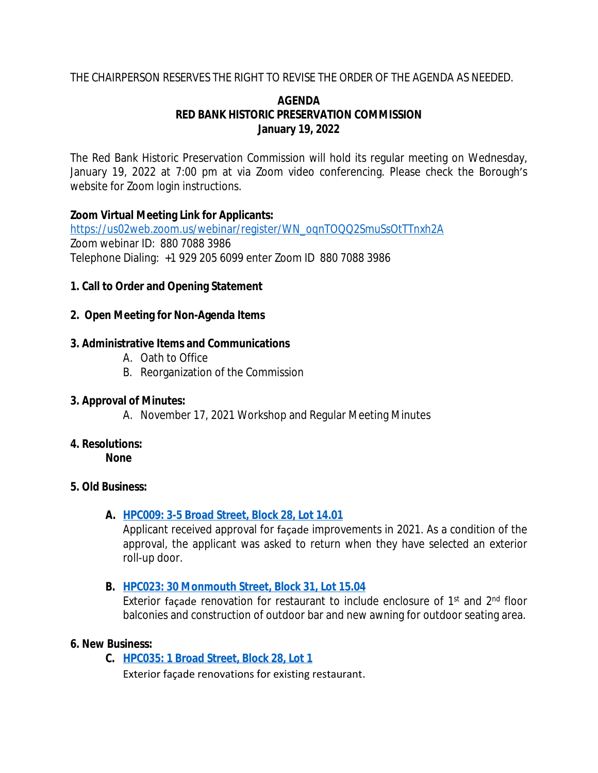## THE CHAIRPERSON RESERVES THE RIGHT TO REVISE THE ORDER OF THE AGENDA AS NEEDED.

## **AGENDA RED BANK HISTORIC PRESERVATION COMMISSION January 19, 2022**

The Red Bank Historic Preservation Commission will hold its regular meeting on Wednesday, January 19, 2022 at 7:00 pm at via Zoom video conferencing. Please check the Borough's website for Zoom login instructions.

## **Zoom Virtual Meeting Link for Applicants:**

[https://us02web.zoom.us/webinar/register/WN\\_oqnTOQQ2SmuSsOtTTnxh2A](https://us02web.zoom.us/webinar/register/WN_oqnTOQQ2SmuSsOtTTnxh2A) Zoom webinar ID: 880 7088 3986 Telephone Dialing: +1 929 205 6099 enter Zoom ID 880 7088 3986

## **1. Call to Order and Opening Statement**

## **2. Open Meeting for Non-Agenda Items**

## **3. Administrative Items and Communications**

- A. Oath to Office
- B. Reorganization of the Commission

## **3. Approval of Minutes:**

A. November 17, 2021 Workshop and Regular Meeting Minutes

## **4. Resolutions:**

**None**

## **5. Old Business:**

## **A. [HPC009: 3-5 Broad Street, Block 28, Lot 14.01](https://drive.google.com/drive/folders/11wnZUpgS0kPmF7lLNWymA5Wf7gq3x-FQ?usp=sharing)**

Applicant received approval for façade improvements in 2021. As a condition of the approval, the applicant was asked to return when they have selected an exterior roll-up door.

## **B. [HPC023: 30 Monmouth Street, Block 31, Lot 15.04](https://drive.google.com/drive/folders/12Ucb3OOvqC0E4cWpZkwXu4nZ25hUusFF?usp=sharing)**

Exterior façade renovation for restaurant to include enclosure of 1<sup>st</sup> and 2<sup>nd</sup> floor balconies and construction of outdoor bar and new awning for outdoor seating area.

## **6. New Business:**

**C. [HPC035: 1 Broad Street, Block 28, Lot 1](https://drive.google.com/file/d/12UKRv6p-joaKRtar15GJ7JUX31WdXkmZ/view?usp=sharing)**

Exterior façade renovations for existing restaurant.